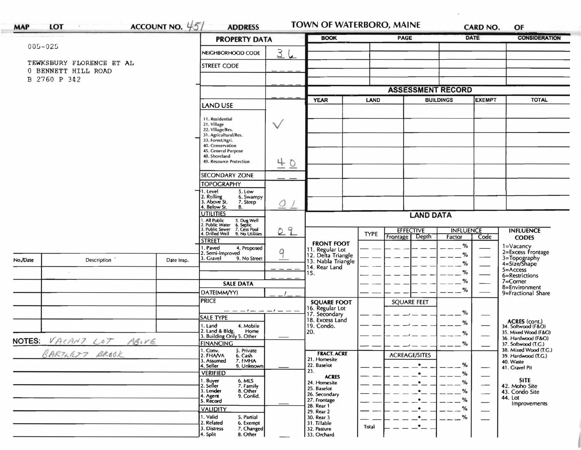|                            |                          |                                                                                        | <b>PROPERTY DATA</b>                                                              |                  |                                       | <b>PAGE</b> |                                       | <b>DATE</b>                | <b>CONSIDERATION</b>     |                                           |
|----------------------------|--------------------------|----------------------------------------------------------------------------------------|-----------------------------------------------------------------------------------|------------------|---------------------------------------|-------------|---------------------------------------|----------------------------|--------------------------|-------------------------------------------|
| $005 - 025$                |                          |                                                                                        | NEIGHBORHOOD CODE                                                                 | 36               |                                       |             |                                       |                            |                          |                                           |
|                            | TEWKSBURY FLORENCE ET AL |                                                                                        |                                                                                   |                  |                                       |             |                                       |                            |                          |                                           |
|                            | 0 BENNETT HILL ROAD      |                                                                                        | <b>STREET CODE</b>                                                                |                  |                                       |             |                                       |                            |                          |                                           |
| B 2760 P 342               |                          |                                                                                        |                                                                                   |                  |                                       |             |                                       |                            |                          |                                           |
|                            |                          |                                                                                        |                                                                                   |                  |                                       |             | <b>ASSESSMENT RECORD</b>              |                            |                          |                                           |
|                            |                          |                                                                                        | <b>LAND USE</b>                                                                   |                  | <b>YEAR</b>                           | LAND        |                                       | <b>BUILDINGS</b>           | <b>EXEMPT</b>            | <b>TOTAL</b>                              |
|                            |                          |                                                                                        |                                                                                   |                  |                                       |             |                                       |                            |                          |                                           |
|                            |                          |                                                                                        | 11. Residential<br>21. Village                                                    |                  |                                       |             |                                       |                            |                          |                                           |
|                            |                          |                                                                                        | 22. Village/Res.                                                                  | $\vee$           |                                       |             |                                       |                            |                          |                                           |
|                            |                          |                                                                                        | 31. Agricultural/Res.<br>33. Forest/Agri.                                         |                  |                                       |             |                                       |                            |                          |                                           |
|                            |                          |                                                                                        | 40. Conservation<br>45. General Purpose                                           |                  |                                       |             |                                       |                            |                          |                                           |
|                            |                          |                                                                                        | 48. Shoreland<br>49. Resource Protection                                          |                  |                                       |             |                                       |                            |                          |                                           |
|                            |                          |                                                                                        |                                                                                   | $\underline{40}$ |                                       |             |                                       |                            |                          |                                           |
|                            |                          |                                                                                        | SECONDARY ZONE                                                                    |                  |                                       |             |                                       |                            |                          |                                           |
|                            |                          |                                                                                        | <b>TOPOGRAPHY</b>                                                                 |                  |                                       |             |                                       |                            |                          |                                           |
|                            |                          |                                                                                        | 5. Low<br>1. Level<br>2. Rolling<br>3. Above St.<br>6. Swampy                     |                  |                                       |             |                                       |                            |                          |                                           |
|                            |                          |                                                                                        | 7. Steep<br>4. Below St.<br>8.                                                    | O                |                                       |             |                                       |                            |                          |                                           |
|                            |                          |                                                                                        | <b>UTILITIES</b>                                                                  |                  | <b>LAND DATA</b>                      |             |                                       |                            |                          |                                           |
|                            |                          | 1. All Public 5. Dug Well<br>2. Public Water 6. Septic<br>3. Public Sewer 7. Cess Pool |                                                                                   |                  |                                       |             |                                       |                            |                          |                                           |
|                            |                          |                                                                                        | 4. Drilled Well 9. No Utilities                                                   | 09               |                                       | <b>TYPE</b> | <b>EFFECTIVE</b><br>Depth<br>Frontage | <b>INFLUENCE</b><br>Factor | Code                     | <b>INFLUENCE</b><br><b>CODES</b>          |
|                            |                          |                                                                                        | <b>STREET</b><br>1. Paved<br>4. Proposed                                          |                  | <b>FRONT FOOT</b>                     |             |                                       | %                          |                          |                                           |
|                            |                          |                                                                                        | 2. Semi-Improved                                                                  | 9                | 11. Regular Lot<br>12. Delta Triangle |             |                                       | $\%$                       |                          | 1=Vacancy<br>2=Excess Frontage            |
| No./Date                   | Description              | Date Insp.                                                                             | 3. Gravel<br>9. No Street                                                         |                  | 13. Nabla Triangle<br>14. Rear Land   |             |                                       | %                          |                          | 3=Topography<br>4=Size/Shape              |
|                            |                          |                                                                                        |                                                                                   |                  | 15.                                   |             |                                       | $\%$                       |                          | 5=Access<br>6=Restrictions                |
|                            |                          |                                                                                        | <b>SALE DATA</b>                                                                  |                  |                                       |             |                                       | %                          |                          | 7=Corner                                  |
|                            |                          |                                                                                        | DATE(MM/YY)                                                                       |                  |                                       |             |                                       | $\%$                       |                          | 8=Environment<br>9=Fractional Share       |
|                            |                          |                                                                                        | <b>PRICE</b>                                                                      |                  | <b>SQUARE FOOT</b>                    |             | <b>SQUARE FEET</b>                    |                            |                          |                                           |
|                            |                          |                                                                                        | - - - - - - - - - -                                                               |                  | 16. Regular Lot<br>17. Secondary      |             |                                       | $\%$                       |                          |                                           |
|                            |                          |                                                                                        | <b>SALE TYPE</b>                                                                  |                  | 18. Excess Land                       |             |                                       | %                          |                          | ACRES (cont.)<br>34. Softwood (F&O)       |
|                            |                          |                                                                                        | 1. Land<br>4. Mobile<br>2. Land & Bldg. Home<br>3. Building Only 5. Other<br>Home |                  | 19. Condo.<br>20.                     |             |                                       | %                          | –                        | 35. Mixed Wood (F&O)                      |
| NOTES: VACANT LOT<br>ABIVE |                          |                                                                                        | <b>FINANCING</b>                                                                  |                  |                                       |             |                                       | $\%$                       |                          | 36. Hardwood (F&O)<br>37. Softwood (T.G.) |
| BARTLETT BROOK             |                          |                                                                                        | 1. Conv.<br>2. FHA/VA<br>5. Private                                               |                  | <b>FRACT. ACRE</b>                    |             |                                       |                            |                          | 38. Mixed Wood (T.G.)                     |
|                            |                          |                                                                                        | 6. Cash<br>7. FMHA<br>3. Assumed                                                  |                  | 21. Homesite                          |             | <b>ACREAGE/SITES</b>                  |                            |                          | 39. Hardwood (T.G.)<br>40. Waste          |
|                            |                          |                                                                                        | 9. Unknown<br>4. Seller<br><b>VERIFIED</b>                                        |                  | 22. Baselot<br>23.                    |             | $\bullet$                             | %<br>%                     | —                        | 41. Gravel Pit                            |
|                            |                          |                                                                                        | 6. MLS                                                                            |                  | <b>ACRES</b><br>24. Homesite          |             | $\bullet$<br>$\bullet$                | %                          | $\overline{\phantom{0}}$ | <b>SITE</b>                               |
|                            |                          |                                                                                        | 1. Buyer<br>2. Seller<br>7. Family<br>3. Lender<br>8. Other                       |                  | 25. Baselot                           |             | $\bullet$                             | %                          |                          | 42. Moho Site<br>43. Condo Site           |
|                            |                          |                                                                                        | 4. Agent<br>9. Confid.<br>5. Record                                               |                  | 26. Secondary<br>27. Frontage         |             | $\bullet$                             | %                          | $\overline{\phantom{0}}$ | 44. Lot                                   |
|                            |                          |                                                                                        | <b>VALIDITY</b>                                                                   |                  | 28. Rear 1                            |             | $\cdot$                               | %                          | $\overline{\phantom{0}}$ | Improvements                              |
|                            |                          |                                                                                        | 1. Valid<br>5. Partial                                                            |                  | 29. Rear 2<br>30. Rear 3              |             | $-$                                   | %                          | $\qquad \qquad$          |                                           |
|                            |                          |                                                                                        | 2. Related<br>6. Exempt<br>7. Changed<br>3. Distress                              |                  | 31. Tillable<br>32. Pasture           | Total       | _•_                                   |                            |                          |                                           |
|                            |                          |                                                                                        | 8. Other                                                                          |                  |                                       |             |                                       |                            |                          |                                           |